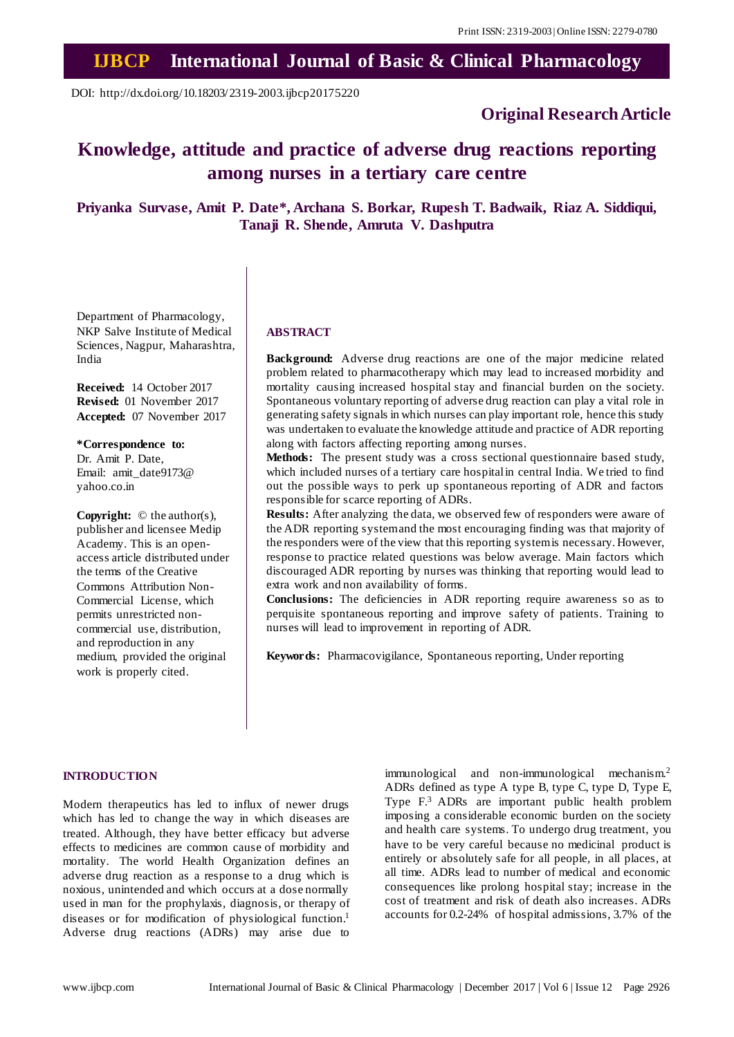# **IJBCP International Journal of Basic & Clinical Pharmacology**

DOI: http://dx.doi.org/10.18203/2319-2003.ijbcp20175220

# **Original Research Article**

# **Knowledge, attitude and practice of adverse drug reactions reporting among nurses in a tertiary care centre**

**Priyanka Survase, Amit P. Date\*, Archana S. Borkar, Rupesh T. Badwaik, Riaz A. Siddiqui, Tanaji R. Shende, Amruta V. Dashputra**

Department of Pharmacology, NKP Salve Institute of Medical Sciences, Nagpur, Maharashtra, India

**Received:** 14 October 2017 **Revised:** 01 November 2017 **Accepted:** 07 November 2017

**\*Correspondence to:** Dr. Amit P. Date,

Email: amit\_date9173@ yahoo.co.in

**Copyright:** © the author(s), publisher and licensee Medip Academy. This is an openaccess article distributed under the terms of the Creative Commons Attribution Non-Commercial License, which permits unrestricted noncommercial use, distribution, and reproduction in any medium, provided the original work is properly cited.

### **ABSTRACT**

**Background:** Adverse drug reactions are one of the major medicine related problem related to pharmacotherapy which may lead to increased morbidity and mortality causing increased hospital stay and financial burden on the society. Spontaneous voluntary reporting of adverse drug reaction can play a vital role in generating safety signals in which nurses can play important role, hence this study was undertaken to evaluate the knowledge attitude and practice of ADR reporting along with factors affecting reporting among nurses.

**Methods:** The present study was a cross sectional questionnaire based study, which included nurses of a tertiary care hospitalin central India. We tried to find out the possible ways to perk up spontaneous reporting of ADR and factors responsible for scarce reporting of ADRs.

**Results:** After analyzing the data, we observed few of responders were aware of the ADR reporting systemand the most encouraging finding was that majority of the responders were of the view that this reporting systemis necessary. However, response to practice related questions was below average. Main factors which discouraged ADR reporting by nurses was thinking that reporting would lead to extra work and non availability of forms.

**Conclusions:** The deficiencies in ADR reporting require awareness so as to perquisite spontaneous reporting and improve safety of patients. Training to nurses will lead to improvement in reporting of ADR.

**Keywords:** Pharmacovigilance, Spontaneous reporting, Under reporting

#### **INTRODUCTION**

Modern therapeutics has led to influx of newer drugs which has led to change the way in which diseases are treated. Although, they have better efficacy but adverse effects to medicines are common cause of morbidity and mortality. The world Health Organization defines an adverse drug reaction as a response to a drug which is noxious, unintended and which occurs at a dose normally used in man for the prophylaxis, diagnosis, or therapy of diseases or for modification of physiological function.<sup>1</sup> Adverse drug reactions (ADRs) may arise due to

immunological and non-immunological mechanism.<sup>2</sup> ADRs defined as type A type B, type C, type D, Type E, Type F.<sup>3</sup> ADRs are important public health problem imposing a considerable economic burden on the society and health care systems. To undergo drug treatment, you have to be very careful because no medicinal product is entirely or absolutely safe for all people, in all places, at all time. ADRs lead to number of medical and economic consequences like prolong hospital stay; increase in the cost of treatment and risk of death also increases. ADRs accounts for 0.2-24% of hospital admissions, 3.7% of the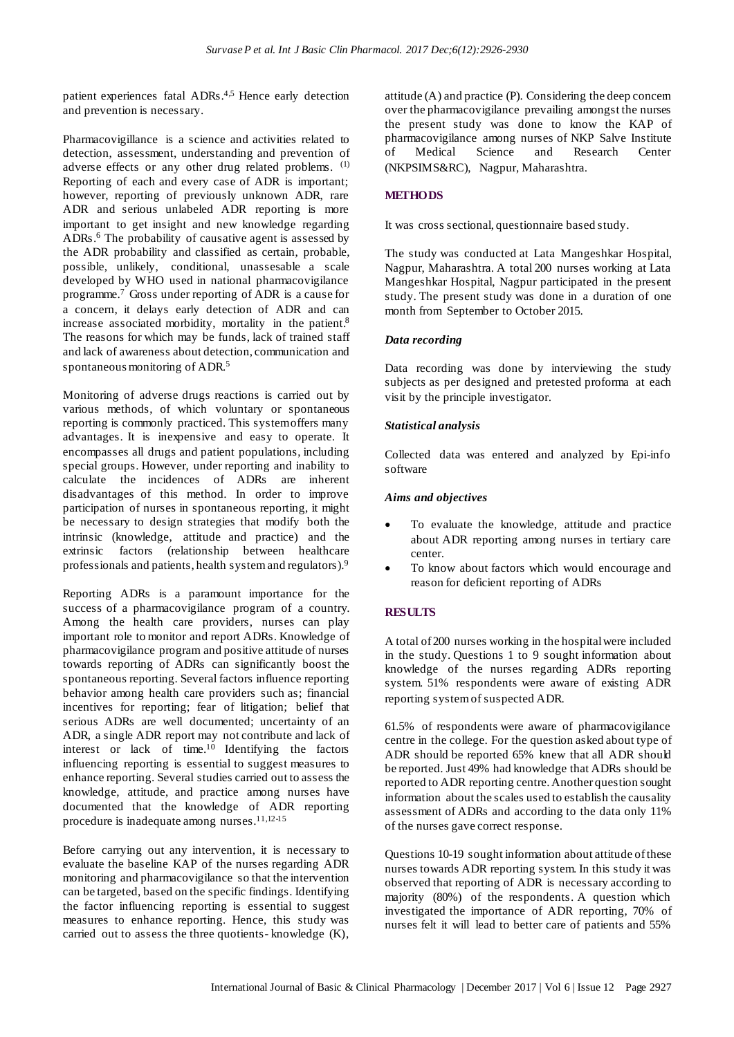patient experiences fatal ADRs.<sup>4,5</sup> Hence early detection and prevention is necessary.

Pharmacovigillance is a science and activities related to detection, assessment, understanding and prevention of adverse effects or any other drug related problems. (1) Reporting of each and every case of ADR is important; however, reporting of previously unknown ADR, rare ADR and serious unlabeled ADR reporting is more important to get insight and new knowledge regarding ADRs. <sup>6</sup> The probability of causative agent is assessed by the ADR probability and classified as certain, probable, possible, unlikely, conditional, unassesable a scale developed by WHO used in national pharmacovigilance programme.<sup>7</sup> Gross under reporting of ADR is a cause for a concern, it delays early detection of ADR and can increase associated morbidity, mortality in the patient. 8 The reasons for which may be funds, lack of trained staff and lack of awareness about detection, communication and spontaneous monitoring of ADR.<sup>5</sup>

Monitoring of adverse drugs reactions is carried out by various methods, of which voluntary or spontaneous reporting is commonly practiced. This systemoffers many advantages. It is inexpensive and easy to operate. It encompasses all drugs and patient populations, including special groups. However, under reporting and inability to calculate the incidences of ADRs are inherent disadvantages of this method. In order to improve participation of nurses in spontaneous reporting, it might be necessary to design strategies that modify both the intrinsic (knowledge, attitude and practice) and the extrinsic factors (relationship between healthcare professionals and patients, health systemand regulators).<sup>9</sup>

Reporting ADRs is a paramount importance for the success of a pharmacovigilance program of a country. Among the health care providers, nurses can play important role to monitor and report ADRs. Knowledge of pharmacovigilance program and positive attitude of nurses towards reporting of ADRs can significantly boost the spontaneous reporting. Several factors influence reporting behavior among health care providers such as; financial incentives for reporting; fear of litigation; belief that serious ADRs are well documented; uncertainty of an ADR, a single ADR report may not contribute and lack of interest or lack of time.<sup>10</sup> Identifying the factors influencing reporting is essential to suggest measures to enhance reporting. Several studies carried out to assess the knowledge, attitude, and practice among nurses have documented that the knowledge of ADR reporting procedure is inadequate among nurses. 11,12-15

Before carrying out any intervention, it is necessary to evaluate the baseline KAP of the nurses regarding ADR monitoring and pharmacovigilance so that the intervention can be targeted, based on the specific findings. Identifying the factor influencing reporting is essential to suggest measures to enhance reporting. Hence, this study was carried out to assess the three quotients- knowledge (K), attitude (A) and practice (P). Considering the deep concern over the pharmacovigilance prevailing amongst the nurses the present study was done to know the KAP of pharmacovigilance among nurses of NKP Salve Institute of Medical Science and Research Center (NKPSIMS&RC), Nagpur, Maharashtra.

# **METHODS**

It was cross sectional, questionnaire based study.

The study was conducted at Lata Mangeshkar Hospital, Nagpur, Maharashtra. A total 200 nurses working at Lata Mangeshkar Hospital, Nagpur participated in the present study. The present study was done in a duration of one month from September to October 2015.

## *Data recording*

Data recording was done by interviewing the study subjects as per designed and pretested proforma at each visit by the principle investigator.

### *Statistical analysis*

Collected data was entered and analyzed by Epi-info software

#### *Aims and objectives*

- To evaluate the knowledge, attitude and practice about ADR reporting among nurses in tertiary care center.
- To know about factors which would encourage and reason for deficient reporting of ADRs

## **RESULTS**

A total of 200 nurses working in the hospitalwere included in the study. Questions 1 to 9 sought information about knowledge of the nurses regarding ADRs reporting system. 51% respondents were aware of existing ADR reporting systemof suspected ADR.

61.5% of respondents were aware of pharmacovigilance centre in the college. For the question asked about type of ADR should be reported 65% knew that all ADR should be reported. Just 49% had knowledge that ADRs should be reported to ADR reporting centre.Another question sought information about the scales used to establish the causality assessment of ADRs and according to the data only 11% of the nurses gave correct response.

Questions 10-19 sought information about attitude ofthese nurses towards ADR reporting system. In this study it was observed that reporting of ADR is necessary according to majority (80%) of the respondents. A question which investigated the importance of ADR reporting, 70% of nurses felt it will lead to better care of patients and 55%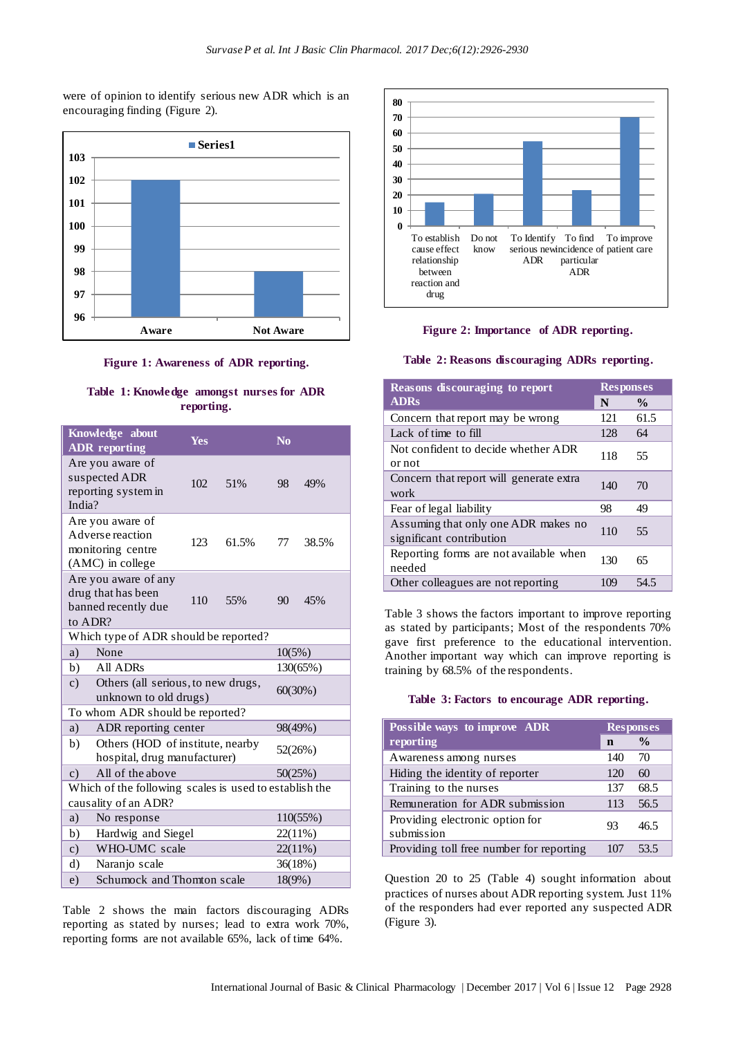were of opinion to identify serious new ADR which is an encouraging finding (Figure 2).



**Figure 1: Awareness of ADR reporting.**

# **Table 1: Knowledge amongst nurses for ADR reporting.**

|                                                                               | Knowledge about<br><b>ADR</b> reporting                          | Yes |       | N <sub>o</sub> |          |  |
|-------------------------------------------------------------------------------|------------------------------------------------------------------|-----|-------|----------------|----------|--|
| India?                                                                        | Are you aware of<br>suspected ADR<br>reporting system in         | 102 | 51%   | 98             | 49%      |  |
| Are you aware of<br>Adverse reaction<br>monitoring centre<br>(AMC) in college |                                                                  | 123 | 61.5% | 77             | 38.5%    |  |
| Are you aware of any<br>drug that has been<br>banned recently due<br>to ADR?  |                                                                  | 110 | 55%   | 90             | 45%      |  |
| Which type of ADR should be reported?                                         |                                                                  |     |       |                |          |  |
| a)                                                                            | None                                                             |     |       | 10(5%)         |          |  |
| b)                                                                            | All ADRs                                                         |     |       | 130(65%)       |          |  |
| $\mathbf{c})$                                                                 | Others (all serious, to new drugs,<br>unknown to old drugs)      |     |       | 60(30%)        |          |  |
| To whom ADR should be reported?                                               |                                                                  |     |       |                |          |  |
| a)                                                                            | ADR reporting center                                             |     |       | 98(49%)        |          |  |
| b)                                                                            | Others (HOD of institute, nearby<br>hospital, drug manufacturer) |     |       |                | 52(26%)  |  |
| $\mathbf{c})$                                                                 | All of the above                                                 |     |       | 50(25%)        |          |  |
| Which of the following scales is used to establish the                        |                                                                  |     |       |                |          |  |
| causality of an ADR?                                                          |                                                                  |     |       |                |          |  |
| a)                                                                            | No response                                                      |     |       |                | 110(55%) |  |
| b)                                                                            | Hardwig and Siegel                                               |     |       | 22(11%)        |          |  |
| $\mathbf{c})$                                                                 | WHO-UMC scale                                                    |     |       | 22(11%)        |          |  |
| d)                                                                            | Naranjo scale                                                    |     |       | 36(18%)        |          |  |
| e)                                                                            | Schumock and Thomton scale                                       |     |       | 18(9%)         |          |  |

Table 2 shows the main factors discouraging ADRs reporting as stated by nurses; lead to extra work 70%, reporting forms are not available 65%, lack of time 64%.





#### **Table 2: Reasons discouraging ADRs reporting.**

| <b>Reasons discouraging to report</b>                           |     | <b>Responses</b> |  |
|-----------------------------------------------------------------|-----|------------------|--|
| <b>ADRs</b>                                                     | N   | $\frac{0}{0}$    |  |
| Concern that report may be wrong                                | 121 | 61.5             |  |
| Lack of time to fill                                            | 128 | 64               |  |
| Not confident to decide whether ADR<br>or not                   | 118 | 55               |  |
| Concern that report will generate extra<br>work                 | 140 | 70               |  |
| Fear of legal liability                                         | 98  | 49               |  |
| Assuming that only one ADR makes no<br>significant contribution | 110 | 55               |  |
| Reporting forms are not available when<br>needed                | 130 | 65               |  |
| Other colleagues are not reporting                              | 109 | 54.5             |  |

Table 3 shows the factors important to improve reporting as stated by participants; Most of the respondents 70% gave first preference to the educational intervention. Another important way which can improve reporting is training by 68.5% of the respondents.

#### **Table 3: Factors to encourage ADR reporting.**

| Possible ways to improve ADR                  |             | <b>Responses</b> |  |
|-----------------------------------------------|-------------|------------------|--|
| reporting                                     | $\mathbf n$ | $\frac{0}{0}$    |  |
| Awareness among nurses                        | 140         | 70               |  |
| Hiding the identity of reporter               | 120         | 60               |  |
| Training to the nurses                        | 137         | 68.5             |  |
| Remuneration for ADR submission               | 113         | 56.5             |  |
| Providing electronic option for<br>submission | 93          | 46.5             |  |
| Providing toll free number for reporting      | 107         | 53.5             |  |

Question 20 to 25 (Table 4) sought information about practices of nurses about ADR reporting system. Just 11% of the responders had ever reported any suspected ADR (Figure 3).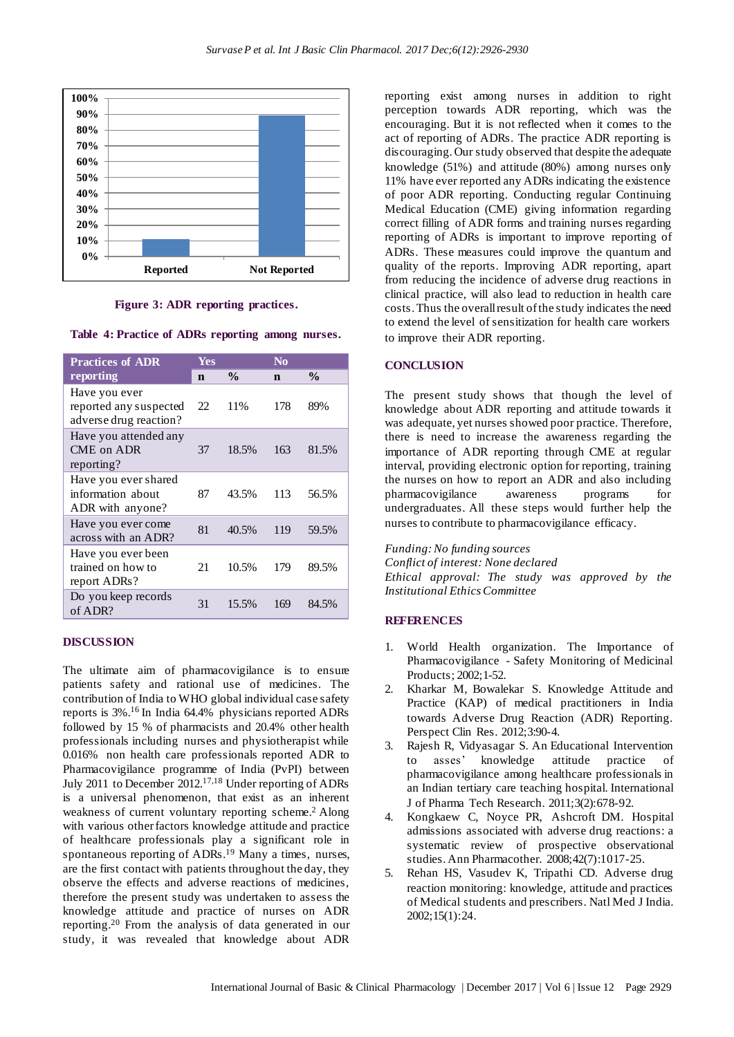

**Figure 3: ADR reporting practices.**

**Table 4: Practice of ADRs reporting among nurses.**

| <b>Practices of ADR</b>                                           | Yes |               | $\bf No$ |               |
|-------------------------------------------------------------------|-----|---------------|----------|---------------|
| reporting                                                         | n   | $\frac{0}{0}$ | n        | $\frac{0}{0}$ |
| Have you ever<br>reported any suspected<br>adverse drug reaction? | 22  | 11%           | 178      | 89%           |
| Have you attended any<br>CME on ADR<br>reporting?                 | 37  | 18.5%         | 163      | 81.5%         |
| Have you ever shared<br>information about<br>ADR with anyone?     | 87  | 43.5%         | 113      | 56.5%         |
| Have you ever come<br>across with an ADR?                         | 81  | 40.5%         | 119      | 59.5%         |
| Have you ever been<br>trained on how to<br>report ADRs?           | 21  | 10.5%         | 179      | 89.5%         |
| Do you keep records<br>of ADR?                                    | 31  | 15.5%         | 169      | 84.5%         |

#### **DISCUSSION**

The ultimate aim of pharmacovigilance is to ensure patients safety and rational use of medicines. The contribution of India to WHO global individual case safety reports is 3%. <sup>16</sup> In India 64.4% physicians reported ADRs followed by 15 % of pharmacists and 20.4% other health professionals including nurses and physiotherapist while 0.016% non health care professionals reported ADR to Pharmacovigilance programme of India (PvPI) between July 2011 to December 2012.<sup>17,18</sup> Under reporting of ADRs is a universal phenomenon, that exist as an inherent weakness of current voluntary reporting scheme.<sup>2</sup> Along with various other factors knowledge attitude and practice of healthcare professionals play a significant role in spontaneous reporting of ADRs.<sup>19</sup> Many a times, nurses, are the first contact with patients throughout the day, they observe the effects and adverse reactions of medicines, therefore the present study was undertaken to assess the knowledge attitude and practice of nurses on ADR reporting.<sup>20</sup> From the analysis of data generated in our study, it was revealed that knowledge about ADR reporting exist among nurses in addition to right perception towards ADR reporting, which was the encouraging. But it is not reflected when it comes to the act of reporting of ADRs. The practice ADR reporting is discouraging. Our study observed that despite the adequate knowledge (51%) and attitude (80%) among nurses only 11% have ever reported any ADRs indicating the existence of poor ADR reporting. Conducting regular Continuing Medical Education (CME) giving information regarding correct filling of ADR forms and training nurses regarding reporting of ADRs is important to improve reporting of ADRs. These measures could improve the quantum and quality of the reports. Improving ADR reporting, apart from reducing the incidence of adverse drug reactions in clinical practice, will also lead to reduction in health care costs.Thus the overallresult ofthe study indicates the need to extend the level of sensitization for health care workers to improve their ADR reporting.

#### **CONCLUSION**

The present study shows that though the level of knowledge about ADR reporting and attitude towards it was adequate, yet nurses showed poor practice. Therefore, there is need to increase the awareness regarding the importance of ADR reporting through CME at regular interval, providing electronic option for reporting, training the nurses on how to report an ADR and also including pharmacovigilance awareness programs for undergraduates. All these steps would further help the nurses to contribute to pharmacovigilance efficacy.

*Funding:No funding sources Conflict of interest: None declared Ethical approval: The study was approved by the Institutional EthicsCommittee*

#### **REFERENCES**

- 1. World Health organization. The Importance of Pharmacovigilance - Safety Monitoring of Medicinal Products; 2002;1-52.
- 2. Kharkar M, Bowalekar S. Knowledge Attitude and Practice (KAP) of medical practitioners in India towards Adverse Drug Reaction (ADR) Reporting. Perspect Clin Res. 2012;3:90-4.
- 3. Rajesh R, Vidyasagar S. An Educational Intervention to asses' knowledge attitude practice of pharmacovigilance among healthcare professionals in an Indian tertiary care teaching hospital. International J of Pharma Tech Research. 2011;3(2):678-92.
- 4. Kongkaew C, Noyce PR, Ashcroft DM. Hospital admissions associated with adverse drug reactions: a systematic review of prospective observational studies. Ann Pharmacother. 2008;42(7):1017-25.
- 5. Rehan HS, Vasudev K, Tripathi CD. Adverse drug reaction monitoring: knowledge, attitude and practices of Medical students and prescribers. Natl Med J India. 2002;15(1):24.